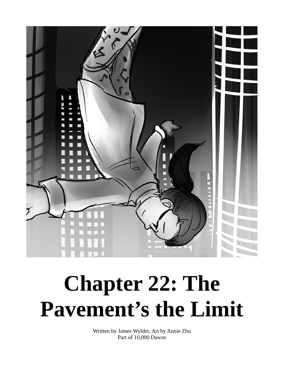

## **Chapter 22: The Pavement's the Limit**

Written by James Wylder, Art by Annie Zhu Part of 10,000 Dawns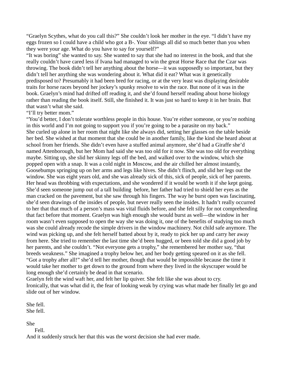"Graelyn Scythes, what do you call this?" She couldn't look her mother in the eye. "I didn't have my eggs frozen so I could have a child who got a B-. Your siblings all did so much better than you when they were your age. What do you have to say for yourself?"

"It was boring" she wanted to say. She wanted to say that she had no interest in the book, and that she really couldn't have cared less if Ivana had managed to win the great Horse Race that the Czar was throwing. The book didn't tell her anything about the horse—it was supposedly so important, but they didn't tell her anything she was wondering about it. What did it eat? What was it genetically predisposed to? Presumably it had been bred for racing, or at the very least was displaying desirable traits for horse races beyond her jockey's spunky resolve to win the race. But none of it was in the book. Graelyn's mind had drifted off reading it, and she'd found herself reading about horse biology rather than reading the book itself. Still, she finished it. It was just so hard to keep it in her brain. But that wasn't what she said.

## "I'll try better mom."

"You'd better, I don't tolerate worthless people in this house. You're either someone, or you're nothing in this world and I'm not going to support you if you're going to be a parasite on my back." She curled up alone in her room that night like she always did, setting her glasses on the table beside her bed. She wished at that moment that she could be in another family, like the kind she heard about at school from her friends. She didn't even have a stuffed animal anymore, she'd had a Giraffe she'd named Attenborough, but her Mom had said she was too old for it now. She was too old for everything maybe. Sitting up, she slid her skinny legs off the bed, and walked over to the window, which she popped open with a snap. It was a cold night in Moscow, and the air chilled her almost instantly, Goosebumps springing up on her arms and legs like hives. She didn't flinch, and slid her legs out the window. She was eight years old, and she was already sick of this, sick of people, sick of her parents. Her head was throbbing with expectations, and she wondered if it would be worth it if she kept going. She'd seen someone jump out of a tall building before, her father had tried to shield her eyes as the man cracked on the pavement, but she saw through his fingers. The way he burst open was fascinating, she'd seen drawings of the insides of people, but never really seen the insides. It hadn't really occurred to her that that much of a person's mass was vital fluids before, and she felt silly for not comprehending that fact before that moment. Graelyn was high enough she would burst as well—the window in her room wasn't even supposed to open the way she was doing it, one of the benefits of studying too much was she could already recode the simple drivers in the window machinery. Not child safe anymore. The wind was picking up, and she felt herself batted about by it, ready to pick her up and carry her away from here. She tried to remember the last time she'd been hugged, or been told she did a good job by her parents, and she couldn't. "Not everyone gets a trophy," she remembered her mother say, "that breeds weakness." She imagined a trophy below her, and her body getting speared on it as she fell. "Got a trophy after all!" she'd tell her mother, though that would be impossible because the time it would take her mother to get down to the ground from where they lived in the skyscraper would be long enough she'd certainly be dead in that scenario.

Graelyn felt the wind waft her, and felt her lip quiver. She felt like she was about to cry. Ironically, that was what did it, the fear of looking weak by crying was what made her finally let go and slide out of her window.

She fell. She fell.

She

Fell.

And it suddenly struck her that this was the worst decision she had ever made.